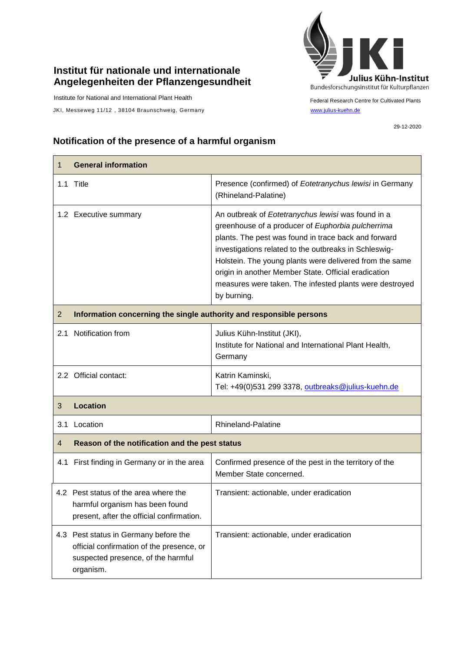## **Institut für nationale und internationale Angelegenheiten der Pflanzengesundheit**

Institute for National and International Plant Health

JKI, Messeweg 11/12, 38104 Braunschweig, Germany [www.julius-kuehn.de](http://www.julius-kuehn.de/)



29-12-2020

## **Notification of the presence of a harmful organism**

| $\mathbf 1$    | <b>General information</b>                                                                                                            |                                                                                                                                                                                                                                                                                                                                                                                                                       |  |
|----------------|---------------------------------------------------------------------------------------------------------------------------------------|-----------------------------------------------------------------------------------------------------------------------------------------------------------------------------------------------------------------------------------------------------------------------------------------------------------------------------------------------------------------------------------------------------------------------|--|
|                | 1.1 Title                                                                                                                             | Presence (confirmed) of Eotetranychus lewisi in Germany<br>(Rhineland-Palatine)                                                                                                                                                                                                                                                                                                                                       |  |
|                | 1.2 Executive summary                                                                                                                 | An outbreak of Eotetranychus lewisi was found in a<br>greenhouse of a producer of Euphorbia pulcherrima<br>plants. The pest was found in trace back and forward<br>investigations related to the outbreaks in Schleswig-<br>Holstein. The young plants were delivered from the same<br>origin in another Member State. Official eradication<br>measures were taken. The infested plants were destroyed<br>by burning. |  |
| $\overline{2}$ | Information concerning the single authority and responsible persons                                                                   |                                                                                                                                                                                                                                                                                                                                                                                                                       |  |
| 2.1            | Notification from                                                                                                                     | Julius Kühn-Institut (JKI),<br>Institute for National and International Plant Health,<br>Germany                                                                                                                                                                                                                                                                                                                      |  |
|                | 2.2 Official contact:                                                                                                                 | Katrin Kaminski,<br>Tel: +49(0)531 299 3378, outbreaks@julius-kuehn.de                                                                                                                                                                                                                                                                                                                                                |  |
| 3              | <b>Location</b>                                                                                                                       |                                                                                                                                                                                                                                                                                                                                                                                                                       |  |
|                | 3.1 Location                                                                                                                          | Rhineland-Palatine                                                                                                                                                                                                                                                                                                                                                                                                    |  |
| 4              | Reason of the notification and the pest status                                                                                        |                                                                                                                                                                                                                                                                                                                                                                                                                       |  |
|                | 4.1 First finding in Germany or in the area                                                                                           | Confirmed presence of the pest in the territory of the<br>Member State concerned.                                                                                                                                                                                                                                                                                                                                     |  |
|                | 4.2 Pest status of the area where the<br>harmful organism has been found<br>present, after the official confirmation.                 | Transient: actionable, under eradication                                                                                                                                                                                                                                                                                                                                                                              |  |
|                | 4.3 Pest status in Germany before the<br>official confirmation of the presence, or<br>suspected presence, of the harmful<br>organism. | Transient: actionable, under eradication                                                                                                                                                                                                                                                                                                                                                                              |  |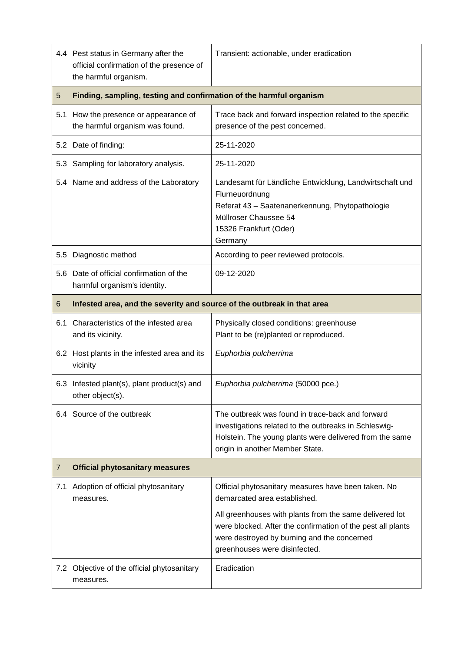|                | 4.4 Pest status in Germany after the<br>official confirmation of the presence of<br>the harmful organism. | Transient: actionable, under eradication                                                                                                                                                                |  |
|----------------|-----------------------------------------------------------------------------------------------------------|---------------------------------------------------------------------------------------------------------------------------------------------------------------------------------------------------------|--|
| 5              | Finding, sampling, testing and confirmation of the harmful organism                                       |                                                                                                                                                                                                         |  |
| 5.1            | How the presence or appearance of<br>the harmful organism was found.                                      | Trace back and forward inspection related to the specific<br>presence of the pest concerned.                                                                                                            |  |
|                | 5.2 Date of finding:                                                                                      | 25-11-2020                                                                                                                                                                                              |  |
|                | 5.3 Sampling for laboratory analysis.                                                                     | 25-11-2020                                                                                                                                                                                              |  |
|                | 5.4 Name and address of the Laboratory                                                                    | Landesamt für Ländliche Entwicklung, Landwirtschaft und<br>Flurneuordnung<br>Referat 43 - Saatenanerkennung, Phytopathologie<br>Müllroser Chaussee 54<br>15326 Frankfurt (Oder)<br>Germany              |  |
| $5.5\,$        | Diagnostic method                                                                                         | According to peer reviewed protocols.                                                                                                                                                                   |  |
|                | 5.6 Date of official confirmation of the<br>harmful organism's identity.                                  | 09-12-2020                                                                                                                                                                                              |  |
| 6              | Infested area, and the severity and source of the outbreak in that area                                   |                                                                                                                                                                                                         |  |
| 6.1            | Characteristics of the infested area<br>and its vicinity.                                                 | Physically closed conditions: greenhouse<br>Plant to be (re)planted or reproduced.                                                                                                                      |  |
|                |                                                                                                           |                                                                                                                                                                                                         |  |
|                | 6.2 Host plants in the infested area and its<br>vicinity                                                  | Euphorbia pulcherrima                                                                                                                                                                                   |  |
|                | 6.3 Infested plant(s), plant product(s) and<br>other object(s).                                           | Euphorbia pulcherrima (50000 pce.)                                                                                                                                                                      |  |
|                | 6.4 Source of the outbreak                                                                                | The outbreak was found in trace-back and forward<br>investigations related to the outbreaks in Schleswig-<br>Holstein. The young plants were delivered from the same<br>origin in another Member State. |  |
| $\overline{7}$ | <b>Official phytosanitary measures</b>                                                                    |                                                                                                                                                                                                         |  |
|                | 7.1 Adoption of official phytosanitary<br>measures.                                                       | Official phytosanitary measures have been taken. No<br>demarcated area established.                                                                                                                     |  |
|                |                                                                                                           | All greenhouses with plants from the same delivered lot<br>were blocked. After the confirmation of the pest all plants<br>were destroyed by burning and the concerned<br>greenhouses were disinfected.  |  |